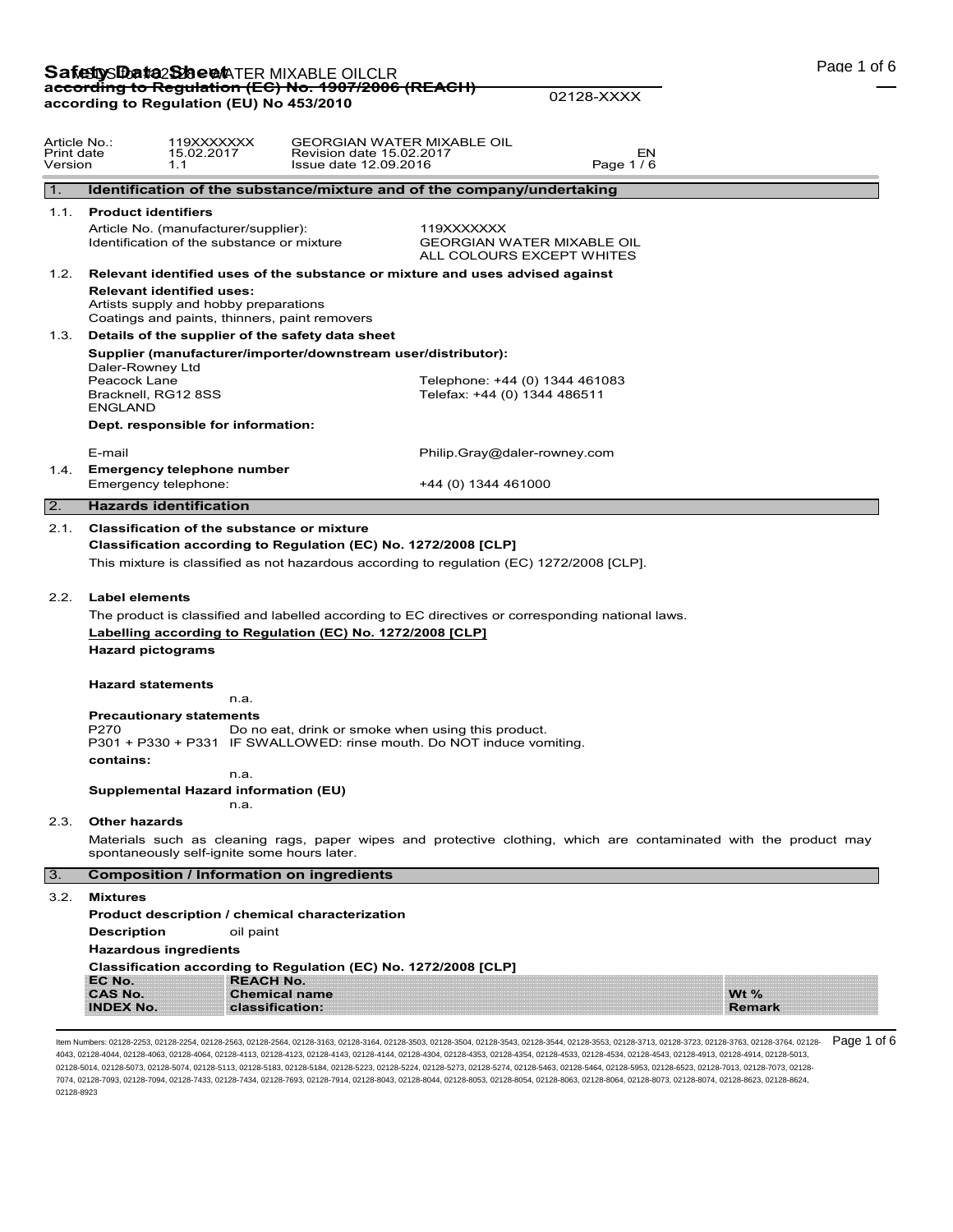# **Safetty Data Sheen** TER MIXABLE OILCLR<br>ac<del>cording to Regulation (EC) No. 1907/2006 (REACH)</del> **according to Regulation (EU) No 453/2010**

02128-XXXX

| Article No.:<br>Print date<br>Version |                                                                                                                            | 119XXXXXXX<br>15.02.2017<br>1.1                                                                                            | GEORGIAN WATER MIXABLE OIL<br>Revision date 15.02.2017<br>Issue date 12.09.2016                                                                                                                                                                                                                                                                                                                                                                                |                                                                              | EN<br>Page 1/6 |                                                                                                                   |  |
|---------------------------------------|----------------------------------------------------------------------------------------------------------------------------|----------------------------------------------------------------------------------------------------------------------------|----------------------------------------------------------------------------------------------------------------------------------------------------------------------------------------------------------------------------------------------------------------------------------------------------------------------------------------------------------------------------------------------------------------------------------------------------------------|------------------------------------------------------------------------------|----------------|-------------------------------------------------------------------------------------------------------------------|--|
| 1.                                    |                                                                                                                            |                                                                                                                            | Identification of the substance/mixture and of the company/undertaking                                                                                                                                                                                                                                                                                                                                                                                         |                                                                              |                |                                                                                                                   |  |
|                                       | 1.1. Product identifiers                                                                                                   | Article No. (manufacturer/supplier):<br>Identification of the substance or mixture                                         |                                                                                                                                                                                                                                                                                                                                                                                                                                                                | 119XXXXXXX<br><b>GEORGIAN WATER MIXABLE OIL</b><br>ALL COLOURS EXCEPT WHITES |                |                                                                                                                   |  |
| 1.2.                                  |                                                                                                                            | <b>Relevant identified uses:</b><br>Artists supply and hobby preparations<br>Coatings and paints, thinners, paint removers | Relevant identified uses of the substance or mixture and uses advised against                                                                                                                                                                                                                                                                                                                                                                                  |                                                                              |                |                                                                                                                   |  |
|                                       |                                                                                                                            |                                                                                                                            | 1.3. Details of the supplier of the safety data sheet                                                                                                                                                                                                                                                                                                                                                                                                          |                                                                              |                |                                                                                                                   |  |
|                                       | Daler-Rowney Ltd<br>Peacock Lane<br>Bracknell, RG12 8SS<br><b>ENGLAND</b>                                                  |                                                                                                                            | Supplier (manufacturer/importer/downstream user/distributor):                                                                                                                                                                                                                                                                                                                                                                                                  | Telephone: +44 (0) 1344 461083<br>Telefax: +44 (0) 1344 486511               |                |                                                                                                                   |  |
|                                       |                                                                                                                            | Dept. responsible for information:                                                                                         |                                                                                                                                                                                                                                                                                                                                                                                                                                                                |                                                                              |                |                                                                                                                   |  |
| 1.4.                                  | E-mail                                                                                                                     | <b>Emergency telephone number</b>                                                                                          |                                                                                                                                                                                                                                                                                                                                                                                                                                                                | Philip.Gray@daler-rowney.com                                                 |                |                                                                                                                   |  |
|                                       | Emergency telephone:                                                                                                       |                                                                                                                            |                                                                                                                                                                                                                                                                                                                                                                                                                                                                | +44 (0) 1344 461000                                                          |                |                                                                                                                   |  |
| $\overline{2}$ .                      | <b>Hazards identification</b>                                                                                              |                                                                                                                            |                                                                                                                                                                                                                                                                                                                                                                                                                                                                |                                                                              |                |                                                                                                                   |  |
| 2.2.<br>2.3.                          | <b>Label elements</b><br><b>Hazard pictograms</b><br><b>Hazard statements</b><br>P270<br>contains:<br><b>Other hazards</b> | n.a.<br><b>Precautionary statements</b><br>n.a.<br>Supplemental Hazard information (EU)<br>n.a.                            | Classification according to Regulation (EC) No. 1272/2008 [CLP]<br>This mixture is classified as not hazardous according to regulation (EC) 1272/2008 [CLP].<br>The product is classified and labelled according to EC directives or corresponding national laws.<br>Labelling according to Regulation (EC) No. 1272/2008 [CLP]<br>Do no eat, drink or smoke when using this product.<br>P301 + P330 + P331 IF SWALLOWED: rinse mouth. Do NOT induce vomiting. |                                                                              |                |                                                                                                                   |  |
|                                       |                                                                                                                            | spontaneously self-ignite some hours later.                                                                                |                                                                                                                                                                                                                                                                                                                                                                                                                                                                |                                                                              |                | Materials such as cleaning rags, paper wipes and protective clothing, which are contaminated with the product may |  |
| 3.                                    |                                                                                                                            |                                                                                                                            | <b>Composition / Information on ingredients</b>                                                                                                                                                                                                                                                                                                                                                                                                                |                                                                              |                |                                                                                                                   |  |
| 3.2.                                  | <b>Mixtures</b><br><b>Description</b><br>EC No.                                                                            | oil paint<br><b>Hazardous ingredients</b><br><b>REACH No.</b>                                                              | Product description / chemical characterization<br>Classification according to Regulation (EC) No. 1272/2008 [CLP]                                                                                                                                                                                                                                                                                                                                             |                                                                              |                |                                                                                                                   |  |
|                                       | <b>CAS No.</b><br><b>INDEX No.</b>                                                                                         |                                                                                                                            | <b>Chemical name</b><br>classification:                                                                                                                                                                                                                                                                                                                                                                                                                        |                                                                              |                | Wt $%$<br><b>Remark</b>                                                                                           |  |

ltem Numbers: 02128-2253, 02128-2254, 02128-2563, 02128-2564, 02128-3163, 02128-3164, 02128-3503, 02128-3543, 02128-3544, 02128-3723, 02128-3713, 02128-3723, 02128-3763, 02128-3764, 02128-3764, 02128-3764, 02128-3764, 0212 4043, 02128-4044, 02128-4063, 02128-4064, 02128-4113, 02128-4123, 02128-4143, 02128-4144, 02128-4304, 02128-4353, 02128-4354, 02128-4533, 02128-4534, 02128-4543, 02128-4913, 02128-4914, 02128-5013, 02128-5014, 02128-5073, 02128-5074, 02128-5113, 02128-5183, 02128-5184, 02128-5223, 02128-5224, 02128-5273, 02128-5274, 02128-5463, 02128-5464, 02128-5953, 02128-6523, 02128-7013, 02128-7073, 02128- 7074, 02128-7093, 02128-7094, 02128-7433, 02128-7434, 02128-7693, 02128-7914, 02128-8043, 02128-8044, 02128-8053, 02128-8054, 02128-8063, 02128-8064, 02128-8073, 02128-8074, 02128-8623, 02128-8624, 02128-8923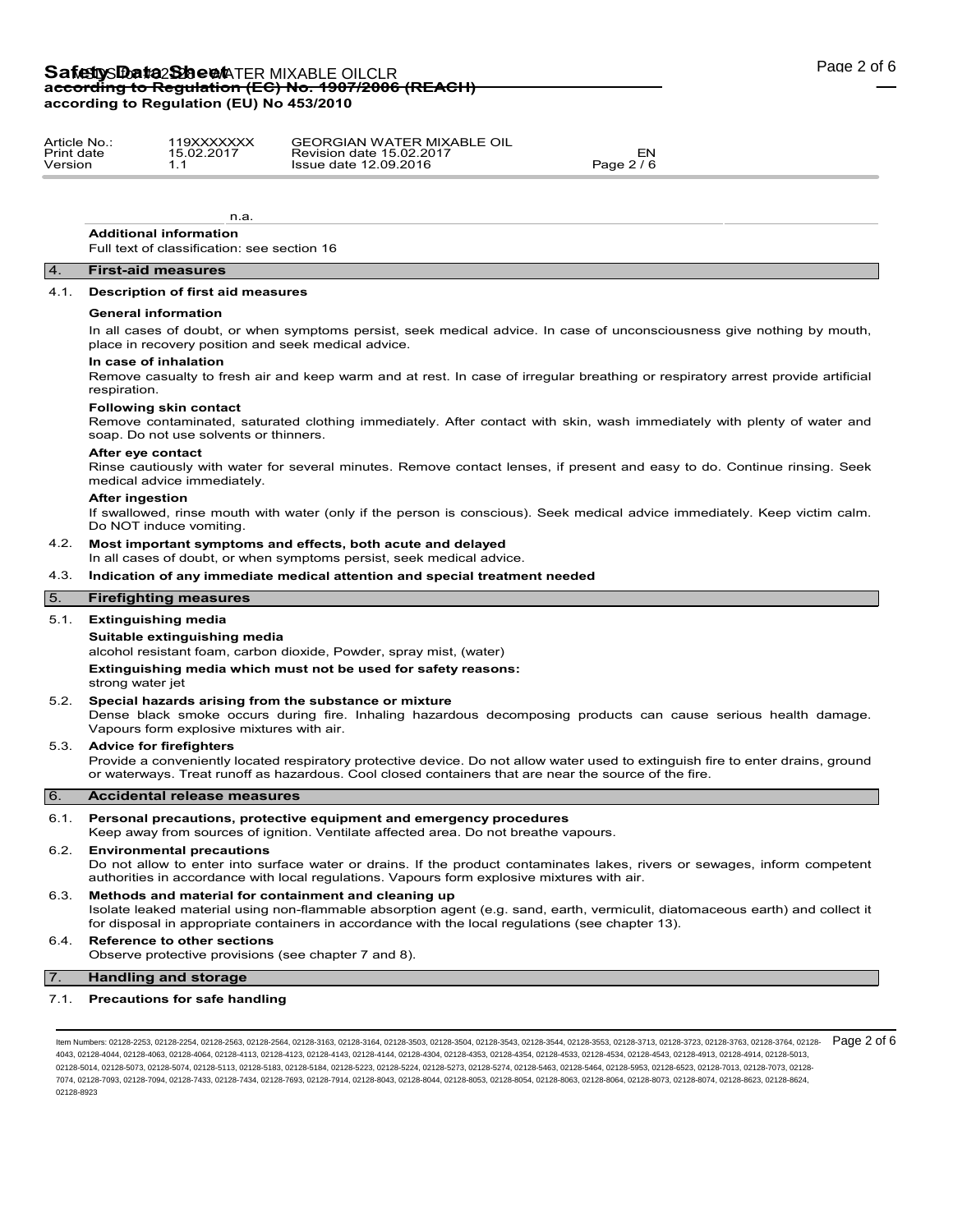# Safety S**Data Sheet** TER MIXABLE OILCLR **according to Regulation (EC) No. 1907/2006 (REACH) according to Regulation (EU) No 453/2010**

| Article No | 119XXXXXXX | <b>GEORGIAN WATER MIXABLE OIL</b> |            |
|------------|------------|-----------------------------------|------------|
| Print date | 15.02.2017 | Revision date 15.02.2017          | ∟ات        |
| Version    |            | Issue date 12.09.2016             | Page 2 / 6 |

**Additional information**

Full text of classification: see section 16

n.a.

#### 4. **First-aid measures**

# 4.1. **Description of first aid measures**

#### **General information**

In all cases of doubt, or when symptoms persist, seek medical advice. In case of unconsciousness give nothing by mouth, place in recovery position and seek medical advice.

#### **In case of inhalation**

Remove casualty to fresh air and keep warm and at rest. In case of irregular breathing or respiratory arrest provide artificial respiration.

#### **Following skin contact**

Remove contaminated, saturated clothing immediately. After contact with skin, wash immediately with plenty of water and soap. Do not use solvents or thinners.

#### **After eye contact**

Rinse cautiously with water for several minutes. Remove contact lenses, if present and easy to do. Continue rinsing. Seek medical advice immediately.

#### **After ingestion**

If swallowed, rinse mouth with water (only if the person is conscious). Seek medical advice immediately. Keep victim calm. Do NOT induce vomiting.

# 4.2. **Most important symptoms and effects, both acute and delayed**

In all cases of doubt, or when symptoms persist, seek medical advice.

# 4.3. **Indication of any immediate medical attention and special treatment needed**

# 5. **Firefighting measures**

# 5.1. **Extinguishing media**

#### **Suitable extinguishing media**

alcohol resistant foam, carbon dioxide, Powder, spray mist, (water)

**Extinguishing media which must not be used for safety reasons:** strong water jet

### 5.2. **Special hazards arising from the substance or mixture**

Dense black smoke occurs during fire. Inhaling hazardous decomposing products can cause serious health damage. Vapours form explosive mixtures with air.

#### 5.3. **Advice for firefighters**

Provide a conveniently located respiratory protective device. Do not allow water used to extinguish fire to enter drains, ground or waterways. Treat runoff as hazardous. Cool closed containers that are near the source of the fire.

# 6. **Accidental release measures**

#### 6.1. **Personal precautions, protective equipment and emergency procedures**

Keep away from sources of ignition. Ventilate affected area. Do not breathe vapours.

# 6.2. **Environmental precautions**

Do not allow to enter into surface water or drains. If the product contaminates lakes, rivers or sewages, inform competent authorities in accordance with local regulations. Vapours form explosive mixtures with air.

# 6.3. **Methods and material for containment and cleaning up**

Isolate leaked material using non-flammable absorption agent (e.g. sand, earth, vermiculit, diatomaceous earth) and collect it for disposal in appropriate containers in accordance with the local regulations (see chapter 13).

# 6.4. **Reference to other sections**

Observe protective provisions (see chapter 7 and 8).

# 7. **Handling and storage**

### 7.1. **Precautions for safe handling**

ltem Numbers: 02128-2253, 02128-2254, 02128-2563, 02128-2564, 02128-3163, 02128-3164, 02128-3503, 02128-3543, 02128-3544, 02128-3713, 02128-3713, 02128-3723, 02128-3763, 02128-3764, 02128-3764, 02128-3764, 02128-3764, 0212 4043, 02128-4044, 02128-4063, 02128-4064, 02128-4113, 02128-4123, 02128-4143, 02128-4144, 02128-4304, 02128-4353, 02128-4354, 02128-4533, 02128-4534, 02128-4543, 02128-4913, 02128-4914, 02128-5013, 02128-5014, 02128-5073, 02128-5074, 02128-5113, 02128-5183, 02128-5184, 02128-5223, 02128-5224, 02128-5273, 02128-5274, 02128-5463, 02128-5464, 02128-5953, 02128-6523, 02128-7013, 02128-7073, 02128- 7074, 02128-7093, 02128-7094, 02128-7433, 02128-7434, 02128-7693, 02128-7914, 02128-8043, 02128-8044, 02128-8053, 02128-8054, 02128-8063, 02128-8064, 02128-8073, 02128-8074, 02128-8623, 02128-8624, 02128-8923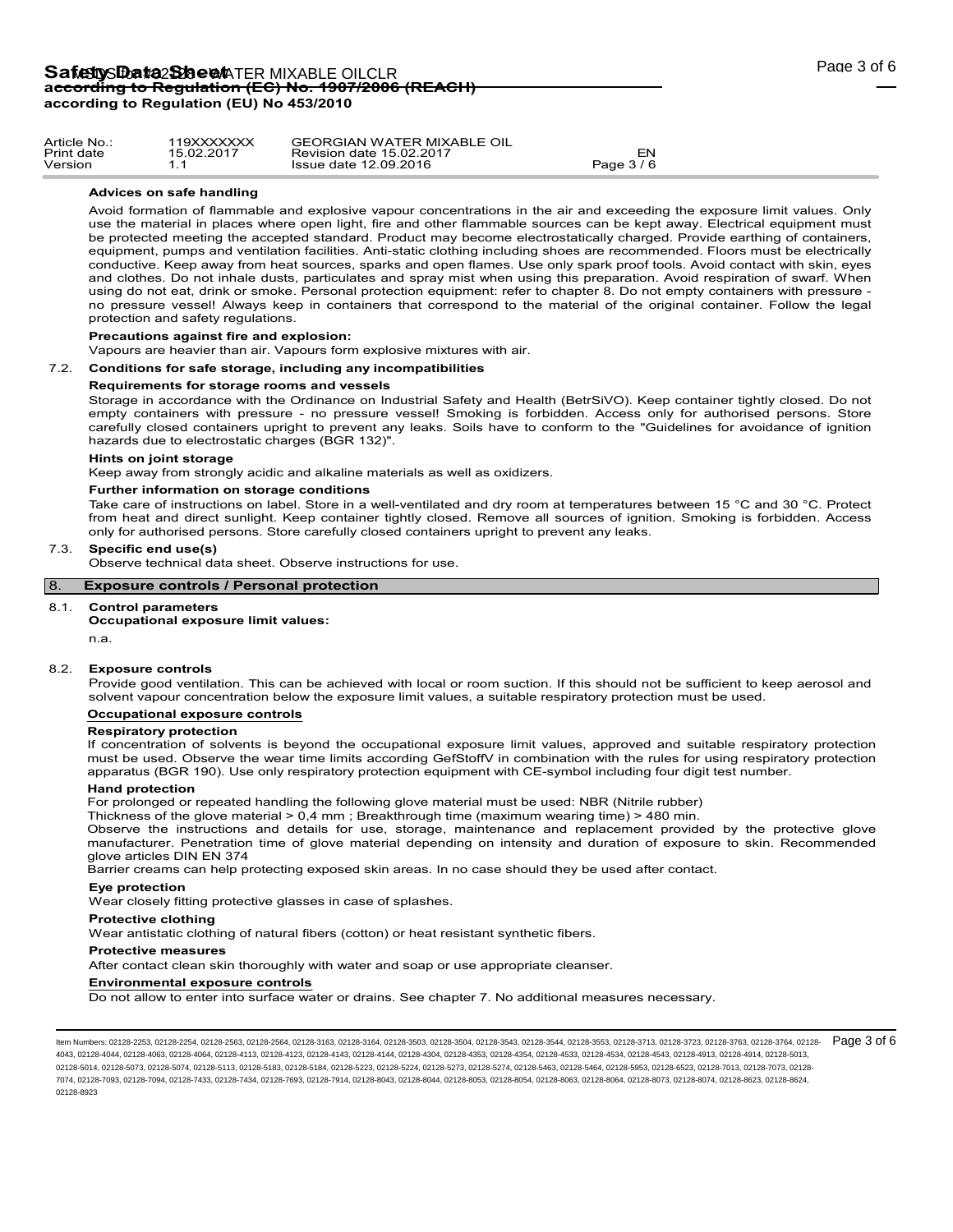| Article No | 19XXXXXXX  | <b>GEORGIAN WATER MIXABLE OIL</b> |            |
|------------|------------|-----------------------------------|------------|
| Print date | 15.02.2017 | Revision date 15.02.2017          |            |
| Version    |            | Issue date 12.09.2016             | Page 3 / 6 |

# **Advices on safe handling**

Avoid formation of flammable and explosive vapour concentrations in the air and exceeding the exposure limit values. Only use the material in places where open light, fire and other flammable sources can be kept away. Electrical equipment must be protected meeting the accepted standard. Product may become electrostatically charged. Provide earthing of containers, equipment, pumps and ventilation facilities. Anti-static clothing including shoes are recommended. Floors must be electrically conductive. Keep away from heat sources, sparks and open flames. Use only spark proof tools. Avoid contact with skin, eyes and clothes. Do not inhale dusts, particulates and spray mist when using this preparation. Avoid respiration of swarf. When using do not eat, drink or smoke. Personal protection equipment: refer to chapter 8. Do not empty containers with pressure no pressure vessel! Always keep in containers that correspond to the material of the original container. Follow the legal protection and safety regulations.

# **Precautions against fire and explosion:**

Vapours are heavier than air. Vapours form explosive mixtures with air.

#### 7.2. **Conditions for safe storage, including any incompatibilities**

#### **Requirements for storage rooms and vessels**

Storage in accordance with the Ordinance on Industrial Safety and Health (BetrSiVO). Keep container tightly closed. Do not empty containers with pressure - no pressure vessel! Smoking is forbidden. Access only for authorised persons. Store carefully closed containers upright to prevent any leaks. Soils have to conform to the "Guidelines for avoidance of ignition hazards due to electrostatic charges (BGR 132)".

#### **Hints on joint storage**

Keep away from strongly acidic and alkaline materials as well as oxidizers.

#### **Further information on storage conditions**

Take care of instructions on label. Store in a well-ventilated and dry room at temperatures between 15 °C and 30 °C. Protect from heat and direct sunlight. Keep container tightly closed. Remove all sources of ignition. Smoking is forbidden. Access only for authorised persons. Store carefully closed containers upright to prevent any leaks.

#### 7.3. **Specific end use(s)**

Observe technical data sheet. Observe instructions for use.

# 8. **Exposure controls / Personal protection**

#### 8.1. **Control parameters**

# **Occupational exposure limit values:**

n.a.

### 8.2. **Exposure controls**

Provide good ventilation. This can be achieved with local or room suction. If this should not be sufficient to keep aerosol and solvent vapour concentration below the exposure limit values, a suitable respiratory protection must be used.

#### **Occupational exposure controls**

#### **Respiratory protection**

If concentration of solvents is beyond the occupational exposure limit values, approved and suitable respiratory protection must be used. Observe the wear time limits according GefStoffV in combination with the rules for using respiratory protection apparatus (BGR 190). Use only respiratory protection equipment with CE-symbol including four digit test number.

#### **Hand protection**

For prolonged or repeated handling the following glove material must be used: NBR (Nitrile rubber)

Thickness of the glove material > 0,4 mm ; Breakthrough time (maximum wearing time) > 480 min.

Observe the instructions and details for use, storage, maintenance and replacement provided by the protective glove manufacturer. Penetration time of glove material depending on intensity and duration of exposure to skin. Recommended glove articles DIN EN 374

Barrier creams can help protecting exposed skin areas. In no case should they be used after contact.

### **Eye protection**

Wear closely fitting protective glasses in case of splashes.

#### **Protective clothing**

Wear antistatic clothing of natural fibers (cotton) or heat resistant synthetic fibers.

#### **Protective measures**

After contact clean skin thoroughly with water and soap or use appropriate cleanser.

#### **Environmental exposure controls**

Do not allow to enter into surface water or drains. See chapter 7. No additional measures necessary.

ltem Numbers: 02128-2253, 02128-2254, 02128-2563, 02128-2564, 02128-3163, 02128-3164, 02128-3503, 02128-3543, 02128-3544, 02128-3713, 02128-3713, 02128-3723, 02128-3763, 02128-3764, 02128-3764, 02128-3764, 02128-3764, 0212 4043, 02128-4044, 02128-4063, 02128-4064, 02128-4113, 02128-4123, 02128-4143, 02128-4144, 02128-4304, 02128-4353, 02128-4354, 02128-4533, 02128-4534, 02128-4543, 02128-4913, 02128-4914, 02128-5013, 02128-5014, 02128-5073, 02128-5074, 02128-5113, 02128-5183, 02128-5184, 02128-5223, 02128-5224, 02128-5273, 02128-5274, 02128-5463, 02128-5464, 02128-5953, 02128-6523, 02128-7013, 02128-7073, 02128- 7074, 02128-7093, 02128-7094, 02128-7433, 02128-7434, 02128-7693, 02128-7914, 02128-8043, 02128-8044, 02128-8053, 02128-8054, 02128-8063, 02128-8064, 02128-8073, 02128-8074, 02128-8623, 02128-8624, 02128-8923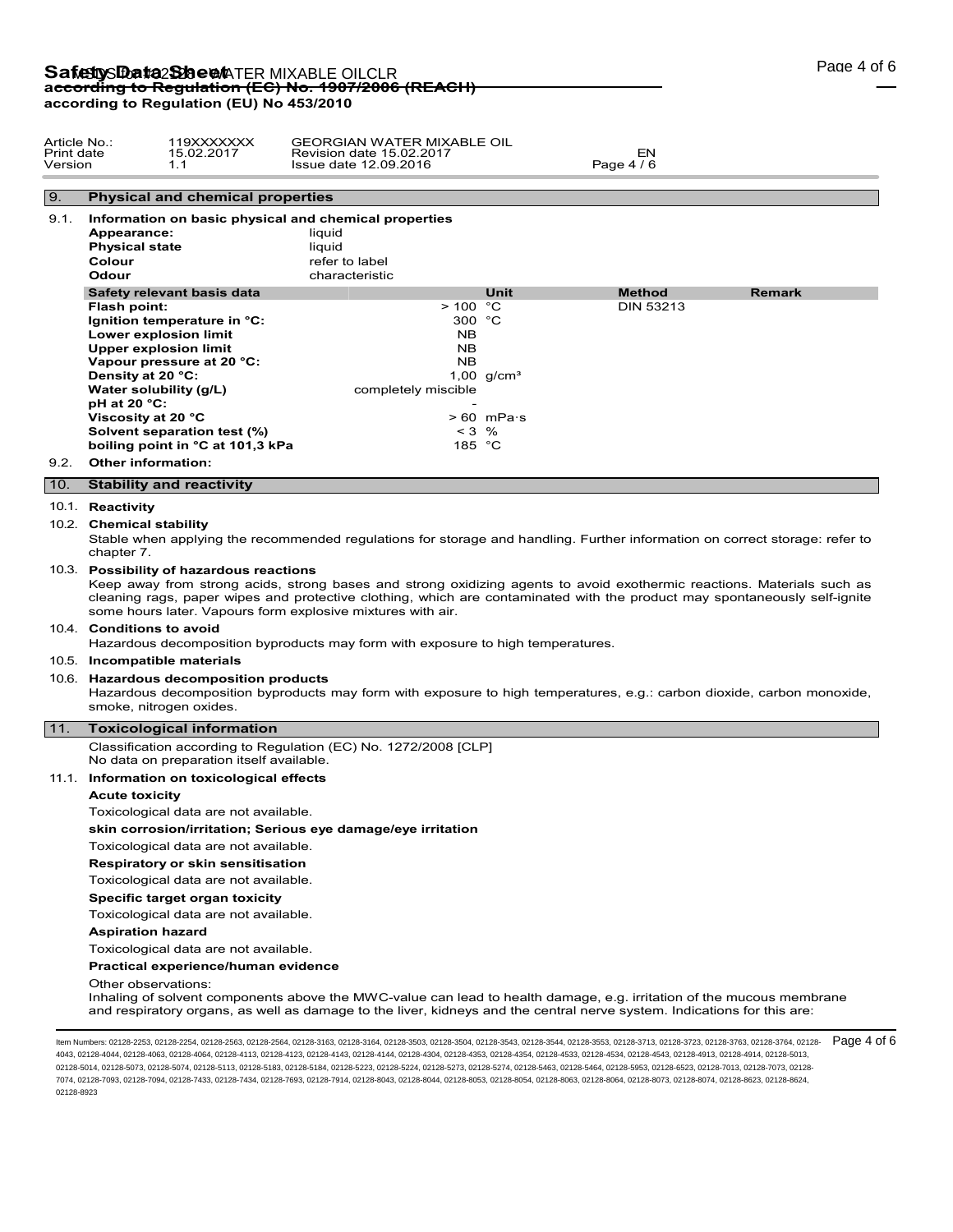# Safety S**Data Sheet** TER MIXABLE OILCLR **according to Regulation (EC) No. 1907/2006 (REACH) according to Regulation (EU) No 453/2010**

| Article No.:<br>Print date<br>Version | 119XXXXXXX<br>15.02.2017 | <b>GEORGIAN WATER MIXABLE OIL</b><br>Revision date 15.02.2017 | EΝ         |  |
|---------------------------------------|--------------------------|---------------------------------------------------------------|------------|--|
|                                       |                          | Issue date 12.09.2016                                         | Page 4 / 6 |  |

# 9. **Physical and chemical properties**

| 9.1. | Information on basic physical and chemical properties<br>Appearance:<br><b>Physical state</b><br>Colour<br>Odour | liguid<br>liguid<br>refer to label<br>characteristic |                 |                  |               |
|------|------------------------------------------------------------------------------------------------------------------|------------------------------------------------------|-----------------|------------------|---------------|
|      | Safety relevant basis data                                                                                       |                                                      | Unit            | <b>Method</b>    | <b>Remark</b> |
|      | Flash point:                                                                                                     | >100 °C                                              |                 | <b>DIN 53213</b> |               |
|      | Ignition temperature in °C:                                                                                      | 300 $°C$                                             |                 |                  |               |
|      | Lower explosion limit                                                                                            | NB.                                                  |                 |                  |               |
|      | Upper explosion limit                                                                                            | NB.                                                  |                 |                  |               |
|      | Vapour pressure at 20 °C:                                                                                        | <b>NB</b>                                            |                 |                  |               |
|      | Density at 20 °C:                                                                                                |                                                      | 1,00 $q/cm^{3}$ |                  |               |
|      | Water solubility (g/L)                                                                                           | completely miscible                                  |                 |                  |               |
|      | $pH$ at 20 °C:                                                                                                   |                                                      |                 |                  |               |
|      | Viscosity at 20 °C                                                                                               |                                                      | $> 60$ mPas     |                  |               |
|      | Solvent separation test (%)                                                                                      | $< 3$ %                                              |                 |                  |               |
|      | boiling point in °C at 101,3 kPa                                                                                 | 185 °C                                               |                 |                  |               |
| 9.2. | Other information:                                                                                               |                                                      |                 |                  |               |

# 10. **Stability and reactivity**

#### 10.1. **Reactivity**

#### 10.2. **Chemical stability**

Stable when applying the recommended regulations for storage and handling. Further information on correct storage: refer to chapter 7.

#### 10.3. **Possibility of hazardous reactions**

Keep away from strong acids, strong bases and strong oxidizing agents to avoid exothermic reactions. Materials such as cleaning rags, paper wipes and protective clothing, which are contaminated with the product may spontaneously self-ignite some hours later. Vapours form explosive mixtures with air.

# 10.4. **Conditions to avoid**

Hazardous decomposition byproducts may form with exposure to high temperatures.

# 10.5. **Incompatible materials**

#### 10.6. **Hazardous decomposition products**

Hazardous decomposition byproducts may form with exposure to high temperatures, e.g.: carbon dioxide, carbon monoxide, smoke, nitrogen oxides.

# 11. **Toxicological information**

Classification according to Regulation (EC) No. 1272/2008 [CLP] No data on preparation itself available.

#### 11.1. **Information on toxicological effects**

# **Acute toxicity**

Toxicological data are not available.

# **skin corrosion/irritation; Serious eye damage/eye irritation**

Toxicological data are not available.

#### **Respiratory or skin sensitisation**

Toxicological data are not available.

#### **Specific target organ toxicity**

Toxicological data are not available.

**Aspiration hazard**

#### Toxicological data are not available.

# **Practical experience/human evidence**

Other observations:

Inhaling of solvent components above the MWC-value can lead to health damage, e.g. irritation of the mucous membrane and respiratory organs, as well as damage to the liver, kidneys and the central nerve system. Indications for this are:

ltem Numbers: 02128-2253, 02128-2254, 02128-2563, 02128-2564, 02128-3163, 02128-3164, 02128-3503, 02128-3543, 02128-3544, 02128-3713, 02128-3713, 02128-3723, 02128-3763, 02128-3764, 02128-3764, 02128-3764, 02128-3764, 0212 4043, 02128-4044, 02128-4063, 02128-4064, 02128-4113, 02128-4123, 02128-4143, 02128-4144, 02128-4304, 02128-4353, 02128-4354, 02128-4533, 02128-4534, 02128-4543, 02128-4913, 02128-4914, 02128-5013, 02128-5014, 02128-5073, 02128-5074, 02128-5113, 02128-5183, 02128-5184, 02128-5223, 02128-5224, 02128-5273, 02128-5274, 02128-5463, 02128-5464, 02128-5953, 02128-6523, 02128-7013, 02128-7073, 02128- 7074, 02128-7093, 02128-7094, 02128-7433, 02128-7434, 02128-7693, 02128-7914, 02128-8043, 02128-8044, 02128-8053, 02128-8054, 02128-8063, 02128-8064, 02128-8073, 02128-8074, 02128-8623, 02128-8624, 02128-8923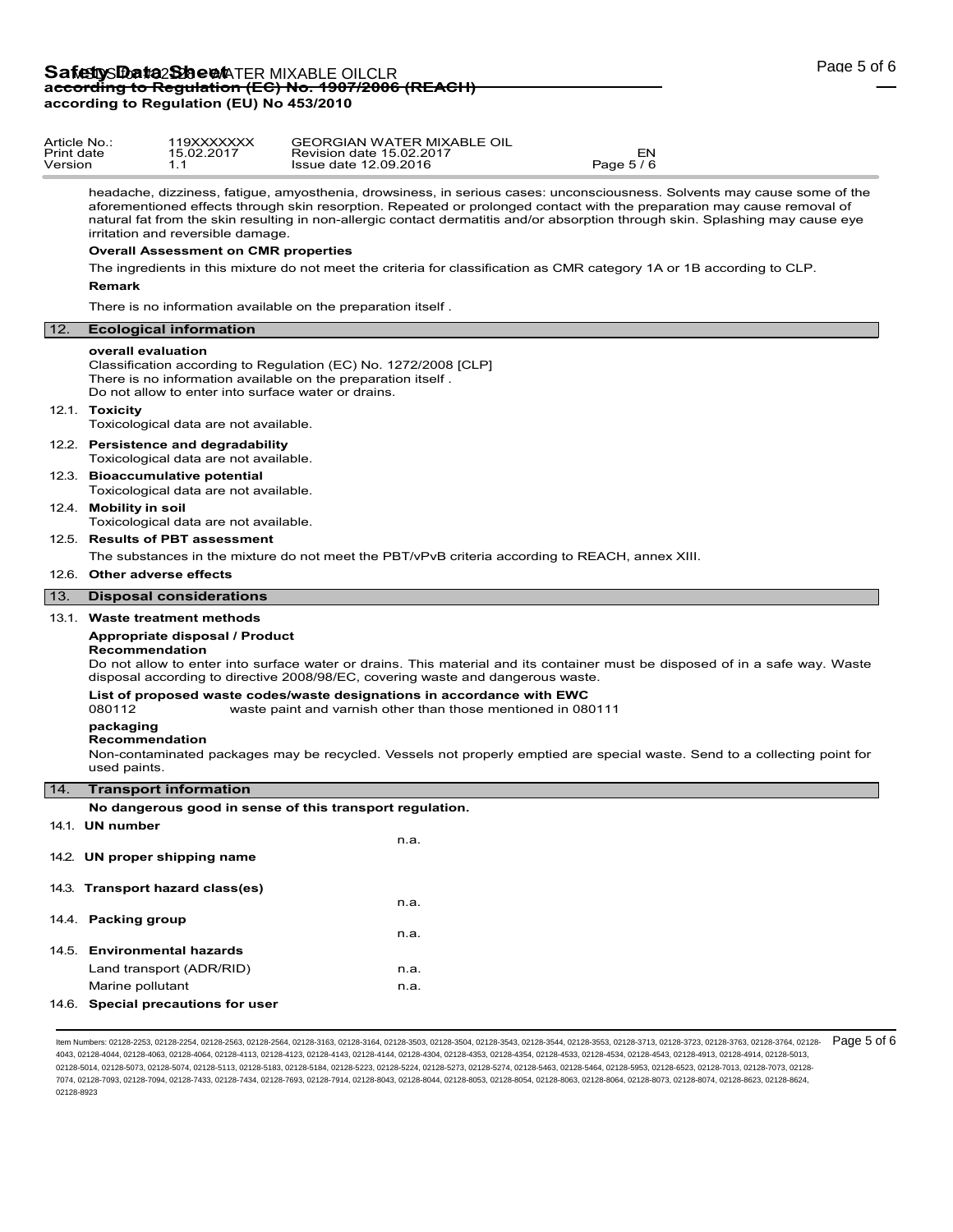| Article No.:<br>Print date<br>Version |                                                                                                                                                                       | 119XXXXXXX<br>15.02.2017<br>1.1                                              | <b>GEORGIAN WATER MIXABLE OIL</b><br>Revision date 15.02.2017<br>Issue date 12.09.2016                                                                                                                                                                                                                                                                                                | EN<br>Page 5/6 |  |  |
|---------------------------------------|-----------------------------------------------------------------------------------------------------------------------------------------------------------------------|------------------------------------------------------------------------------|---------------------------------------------------------------------------------------------------------------------------------------------------------------------------------------------------------------------------------------------------------------------------------------------------------------------------------------------------------------------------------------|----------------|--|--|
|                                       |                                                                                                                                                                       | irritation and reversible damage.                                            | headache, dizziness, fatigue, amyosthenia, drowsiness, in serious cases: unconsciousness. Solvents may cause some of the<br>aforementioned effects through skin resorption. Repeated or prolonged contact with the preparation may cause removal of<br>natural fat from the skin resulting in non-allergic contact dermatitis and/or absorption through skin. Splashing may cause eye |                |  |  |
|                                       | <b>Overall Assessment on CMR properties</b><br>The ingredients in this mixture do not meet the criteria for classification as CMR category 1A or 1B according to CLP. |                                                                              |                                                                                                                                                                                                                                                                                                                                                                                       |                |  |  |
|                                       |                                                                                                                                                                       |                                                                              |                                                                                                                                                                                                                                                                                                                                                                                       |                |  |  |
|                                       | <b>Remark</b>                                                                                                                                                         |                                                                              |                                                                                                                                                                                                                                                                                                                                                                                       |                |  |  |
|                                       | There is no information available on the preparation itself.                                                                                                          |                                                                              |                                                                                                                                                                                                                                                                                                                                                                                       |                |  |  |
| 12.                                   | <b>Ecological information</b>                                                                                                                                         |                                                                              |                                                                                                                                                                                                                                                                                                                                                                                       |                |  |  |
|                                       | overall evaluation<br>12.1. Toxicity                                                                                                                                  |                                                                              | Classification according to Regulation (EC) No. 1272/2008 [CLP]<br>There is no information available on the preparation itself.<br>Do not allow to enter into surface water or drains.                                                                                                                                                                                                |                |  |  |
|                                       |                                                                                                                                                                       | Toxicological data are not available.                                        |                                                                                                                                                                                                                                                                                                                                                                                       |                |  |  |
|                                       |                                                                                                                                                                       | 12.2. Persistence and degradability<br>Toxicological data are not available. |                                                                                                                                                                                                                                                                                                                                                                                       |                |  |  |
|                                       | 12.3. Bioaccumulative potential<br>Toxicological data are not available.                                                                                              |                                                                              |                                                                                                                                                                                                                                                                                                                                                                                       |                |  |  |
|                                       | 12.4. Mobility in soil                                                                                                                                                | Toxicological data are not available.                                        |                                                                                                                                                                                                                                                                                                                                                                                       |                |  |  |
|                                       |                                                                                                                                                                       | 12.5. Results of PBT assessment                                              |                                                                                                                                                                                                                                                                                                                                                                                       |                |  |  |
|                                       |                                                                                                                                                                       |                                                                              | The substances in the mixture do not meet the PBT/vPvB criteria according to REACH, annex XIII.                                                                                                                                                                                                                                                                                       |                |  |  |
|                                       |                                                                                                                                                                       |                                                                              |                                                                                                                                                                                                                                                                                                                                                                                       |                |  |  |

# 12.6. **Other adverse effects**

# 13. **Disposal considerations**

#### 13.1. **Waste treatment methods**

### **Appropriate disposal / Product**

**Recommendation**

Do not allow to enter into surface water or drains. This material and its container must be disposed of in a safe way. Waste disposal according to directive 2008/98/EC, covering waste and dangerous waste.

### **List of proposed waste codes/waste designations in accordance with EWC**

080112 waste paint and varnish other than those mentioned in 080111

# **packaging**

#### **Recommendation**

Non-contaminated packages may be recycled. Vessels not properly emptied are special waste. Send to a collecting point for used paints.

### 14. **Transport information**

**No dangerous good in sense of this transport regulation.**

| 14.1. UN number                    |      |
|------------------------------------|------|
| 14.2. UN proper shipping name      | n.a. |
| 14.3. Transport hazard class(es)   |      |
|                                    | n.a. |
| 14.4 Packing group                 | n.a. |
| 14.5 Environmental hazards         |      |
| Land transport (ADR/RID)           | n.a. |
| Marine pollutant                   | n.a. |
| 14.6. Special precautions for user |      |

ltem Numbers: 02128-2253, 02128-2254, 02128-2563, 02128-2564, 02128-3163, 02128-3164, 02128-3503, 02128-3543, 02128-3544, 02128-3713, 02128-3713, 02128-3723, 02128-3763, 02128-3764, 02128-3764, 02128-3764, 02128-3764, 0212 4043, 02128-4044, 02128-4063, 02128-4064, 02128-4113, 02128-4123, 02128-4143, 02128-4144, 02128-4304, 02128-4353, 02128-4354, 02128-4533, 02128-4534, 02128-4543, 02128-4913, 02128-4914, 02128-5013, 02128-5014, 02128-5073, 02128-5074, 02128-5113, 02128-5183, 02128-5184, 02128-5223, 02128-5224, 02128-5273, 02128-5274, 02128-5463, 02128-5464, 02128-5953, 02128-6523, 02128-7013, 02128-7073, 02128- 7074, 02128-7093, 02128-7094, 02128-7433, 02128-7434, 02128-7693, 02128-7914, 02128-8043, 02128-8044, 02128-8053, 02128-8054, 02128-8063, 02128-8064, 02128-8073, 02128-8074, 02128-8623, 02128-8624, 02128-8923